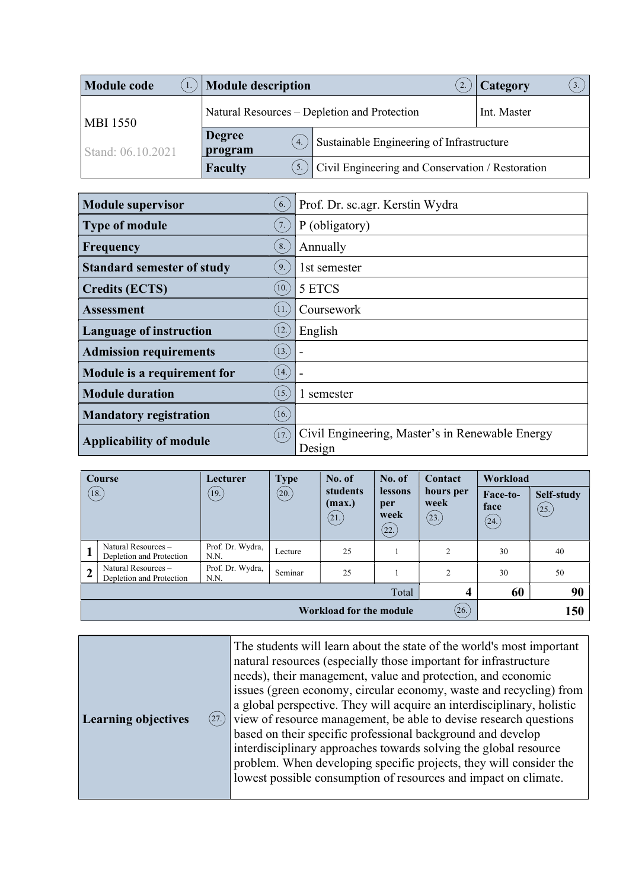| <b>Module code</b> | Module description                           |                                                  | Category<br>3. |
|--------------------|----------------------------------------------|--------------------------------------------------|----------------|
| <b>MBI 1550</b>    | Natural Resources – Depletion and Protection | Int. Master                                      |                |
| Stand: 06.10.2021  | <b>Degree</b><br>4.<br>program               | Sustainable Engineering of Infrastructure        |                |
|                    | <b>Faculty</b>                               | Civil Engineering and Conservation / Restoration |                |

| <b>Module supervisor</b><br>6.          | Prof. Dr. sc.agr. Kerstin Wydra                           |
|-----------------------------------------|-----------------------------------------------------------|
| 7.<br><b>Type of module</b>             | P (obligatory)                                            |
| 8.<br>Frequency                         | Annually                                                  |
| 9.<br><b>Standard semester of study</b> | 1st semester                                              |
| (10.)<br><b>Credits (ECTS)</b>          | 5 ETCS                                                    |
| (11)<br><b>Assessment</b>               | Coursework                                                |
| (12)<br><b>Language of instruction</b>  | English                                                   |
| (13.)<br><b>Admission requirements</b>  |                                                           |
| (14.)<br>Module is a requirement for    |                                                           |
| (15.)<br><b>Module duration</b>         | 1 semester                                                |
| (16.)<br><b>Mandatory registration</b>  |                                                           |
| (17)<br><b>Applicability of module</b>  | Civil Engineering, Master's in Renewable Energy<br>Design |

|                                  | <b>Course</b>                                   | Lecturer                 | <b>Type</b> | No. of                     | No. of                         | Contact                    | Workload                 |                     |
|----------------------------------|-------------------------------------------------|--------------------------|-------------|----------------------------|--------------------------------|----------------------------|--------------------------|---------------------|
|                                  | (18.)                                           | (19.)                    | (20.)       | students<br>(max.)<br>(21) | lessons<br>per<br>week<br>(22. | hours per<br>week<br>(23.) | Face-to-<br>face<br>(24) | Self-study<br>(25.) |
|                                  | Natural Resources -<br>Depletion and Protection | Prof. Dr. Wydra,<br>N.N. | Lecture     | 25                         |                                | 2                          | 30                       | 40                  |
| $\overline{2}$                   | Natural Resources -<br>Depletion and Protection | Prof. Dr. Wydra,<br>N.N. | Seminar     | 25                         |                                | 2                          | 30                       | 50                  |
|                                  |                                                 |                          |             |                            | Total                          | $\boldsymbol{4}$           | 60                       | 90                  |
| (26.)<br>Workload for the module |                                                 |                          |             |                            |                                | 150                        |                          |                     |

|--|